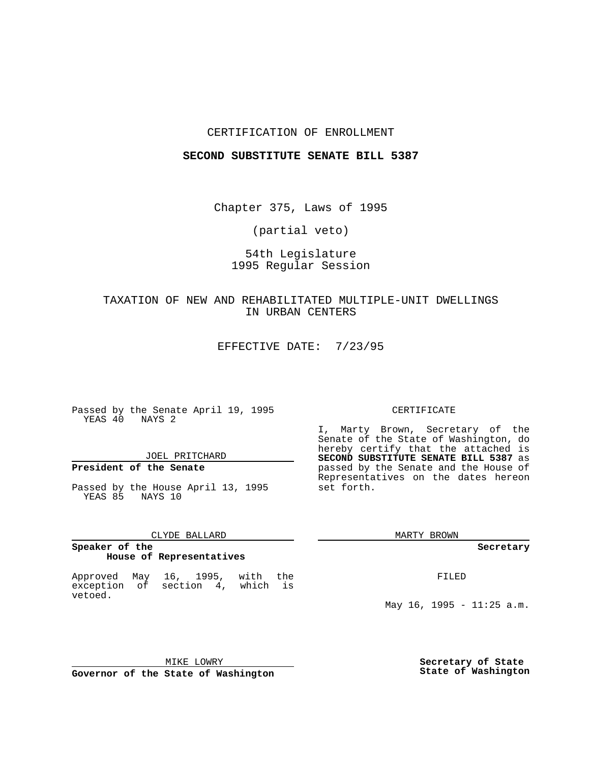#### CERTIFICATION OF ENROLLMENT

#### **SECOND SUBSTITUTE SENATE BILL 5387**

Chapter 375, Laws of 1995

(partial veto)

# 54th Legislature 1995 Regular Session

## TAXATION OF NEW AND REHABILITATED MULTIPLE-UNIT DWELLINGS IN URBAN CENTERS

EFFECTIVE DATE: 7/23/95

Passed by the Senate April 19, 1995 YEAS 40 NAYS 2

## JOEL PRITCHARD

## **President of the Senate**

Passed by the House April 13, 1995 YEAS 85 NAYS 10

#### CLYDE BALLARD

#### **Speaker of the House of Representatives**

Approved May 16, 1995, with the exception of section 4, which is vetoed.

#### CERTIFICATE

I, Marty Brown, Secretary of the Senate of the State of Washington, do hereby certify that the attached is **SECOND SUBSTITUTE SENATE BILL 5387** as passed by the Senate and the House of Representatives on the dates hereon set forth.

MARTY BROWN

**Secretary**

FILED

May 16, 1995 - 11:25 a.m.

MIKE LOWRY **Governor of the State of Washington** **Secretary of State State of Washington**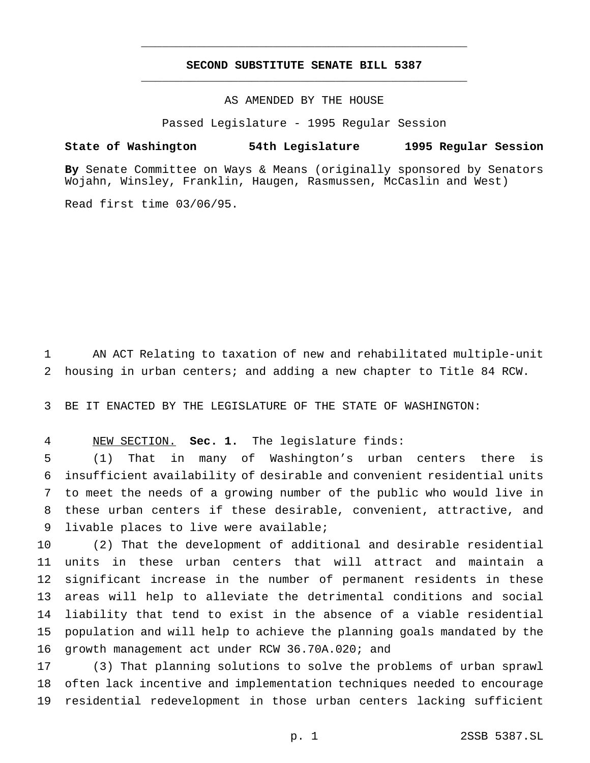# **SECOND SUBSTITUTE SENATE BILL 5387** \_\_\_\_\_\_\_\_\_\_\_\_\_\_\_\_\_\_\_\_\_\_\_\_\_\_\_\_\_\_\_\_\_\_\_\_\_\_\_\_\_\_\_\_\_\_\_

\_\_\_\_\_\_\_\_\_\_\_\_\_\_\_\_\_\_\_\_\_\_\_\_\_\_\_\_\_\_\_\_\_\_\_\_\_\_\_\_\_\_\_\_\_\_\_

## AS AMENDED BY THE HOUSE

Passed Legislature - 1995 Regular Session

#### **State of Washington 54th Legislature 1995 Regular Session**

**By** Senate Committee on Ways & Means (originally sponsored by Senators Wojahn, Winsley, Franklin, Haugen, Rasmussen, McCaslin and West)

Read first time 03/06/95.

 AN ACT Relating to taxation of new and rehabilitated multiple-unit housing in urban centers; and adding a new chapter to Title 84 RCW.

BE IT ENACTED BY THE LEGISLATURE OF THE STATE OF WASHINGTON:

NEW SECTION. **Sec. 1.** The legislature finds:

 (1) That in many of Washington's urban centers there is insufficient availability of desirable and convenient residential units to meet the needs of a growing number of the public who would live in these urban centers if these desirable, convenient, attractive, and livable places to live were available;

 (2) That the development of additional and desirable residential units in these urban centers that will attract and maintain a significant increase in the number of permanent residents in these areas will help to alleviate the detrimental conditions and social liability that tend to exist in the absence of a viable residential population and will help to achieve the planning goals mandated by the growth management act under RCW 36.70A.020; and

 (3) That planning solutions to solve the problems of urban sprawl often lack incentive and implementation techniques needed to encourage residential redevelopment in those urban centers lacking sufficient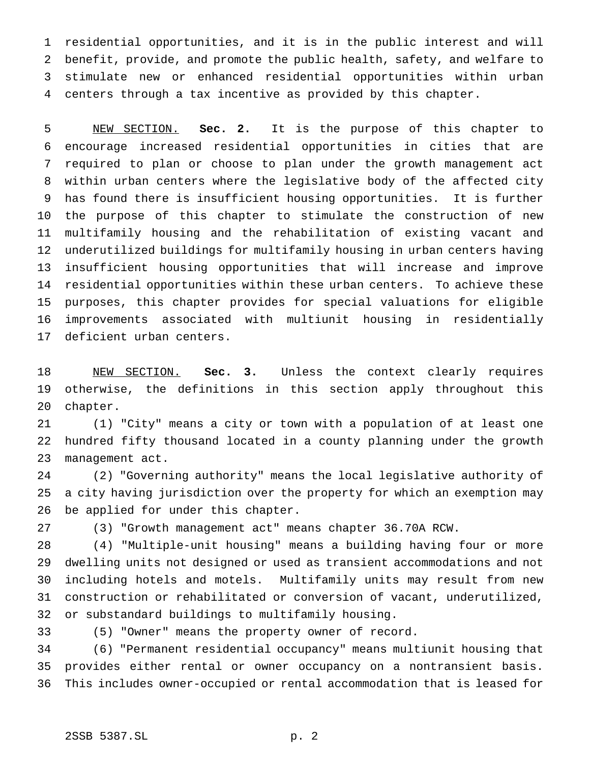residential opportunities, and it is in the public interest and will benefit, provide, and promote the public health, safety, and welfare to stimulate new or enhanced residential opportunities within urban centers through a tax incentive as provided by this chapter.

 NEW SECTION. **Sec. 2.** It is the purpose of this chapter to encourage increased residential opportunities in cities that are required to plan or choose to plan under the growth management act within urban centers where the legislative body of the affected city has found there is insufficient housing opportunities. It is further the purpose of this chapter to stimulate the construction of new multifamily housing and the rehabilitation of existing vacant and underutilized buildings for multifamily housing in urban centers having insufficient housing opportunities that will increase and improve residential opportunities within these urban centers. To achieve these purposes, this chapter provides for special valuations for eligible improvements associated with multiunit housing in residentially deficient urban centers.

 NEW SECTION. **Sec. 3.** Unless the context clearly requires otherwise, the definitions in this section apply throughout this chapter.

 (1) "City" means a city or town with a population of at least one hundred fifty thousand located in a county planning under the growth management act.

 (2) "Governing authority" means the local legislative authority of a city having jurisdiction over the property for which an exemption may be applied for under this chapter.

(3) "Growth management act" means chapter 36.70A RCW.

 (4) "Multiple-unit housing" means a building having four or more dwelling units not designed or used as transient accommodations and not including hotels and motels. Multifamily units may result from new construction or rehabilitated or conversion of vacant, underutilized, or substandard buildings to multifamily housing.

(5) "Owner" means the property owner of record.

 (6) "Permanent residential occupancy" means multiunit housing that provides either rental or owner occupancy on a nontransient basis. This includes owner-occupied or rental accommodation that is leased for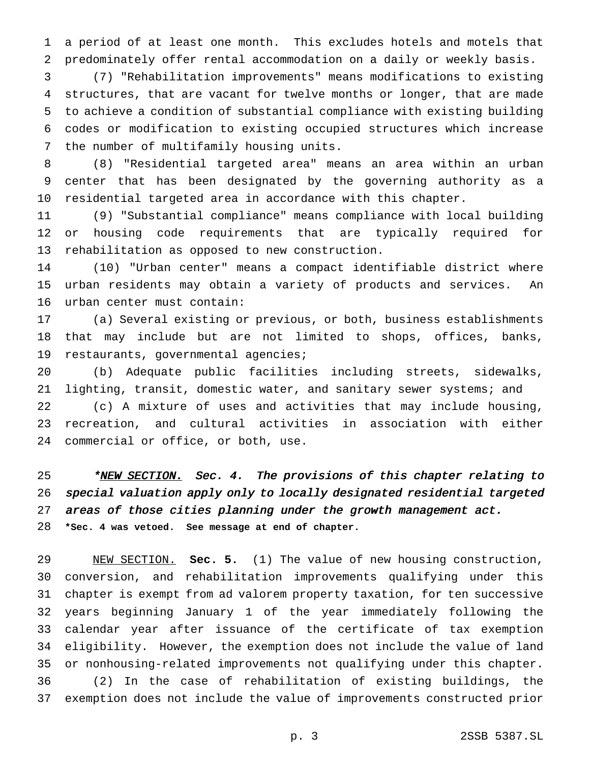a period of at least one month. This excludes hotels and motels that predominately offer rental accommodation on a daily or weekly basis.

 (7) "Rehabilitation improvements" means modifications to existing structures, that are vacant for twelve months or longer, that are made to achieve a condition of substantial compliance with existing building codes or modification to existing occupied structures which increase the number of multifamily housing units.

 (8) "Residential targeted area" means an area within an urban center that has been designated by the governing authority as a residential targeted area in accordance with this chapter.

 (9) "Substantial compliance" means compliance with local building or housing code requirements that are typically required for rehabilitation as opposed to new construction.

 (10) "Urban center" means a compact identifiable district where urban residents may obtain a variety of products and services. An urban center must contain:

 (a) Several existing or previous, or both, business establishments that may include but are not limited to shops, offices, banks, restaurants, governmental agencies;

 (b) Adequate public facilities including streets, sidewalks, 21 lighting, transit, domestic water, and sanitary sewer systems; and (c) A mixture of uses and activities that may include housing, recreation, and cultural activities in association with either commercial or office, or both, use.

25 \*NEW SECTION. Sec. 4. The provisions of this chapter relating to special valuation apply only to locally designated residential targeted areas of those cities planning under the growth management act. **\*Sec. 4 was vetoed. See message at end of chapter.**

 NEW SECTION. **Sec. 5.** (1) The value of new housing construction, conversion, and rehabilitation improvements qualifying under this chapter is exempt from ad valorem property taxation, for ten successive years beginning January 1 of the year immediately following the calendar year after issuance of the certificate of tax exemption eligibility. However, the exemption does not include the value of land or nonhousing-related improvements not qualifying under this chapter. (2) In the case of rehabilitation of existing buildings, the exemption does not include the value of improvements constructed prior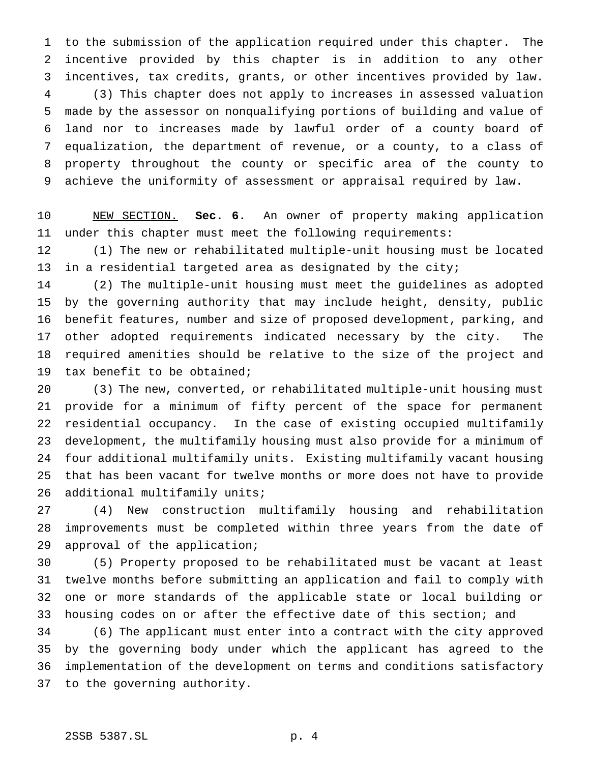to the submission of the application required under this chapter. The incentive provided by this chapter is in addition to any other incentives, tax credits, grants, or other incentives provided by law. (3) This chapter does not apply to increases in assessed valuation made by the assessor on nonqualifying portions of building and value of land nor to increases made by lawful order of a county board of equalization, the department of revenue, or a county, to a class of property throughout the county or specific area of the county to achieve the uniformity of assessment or appraisal required by law.

 NEW SECTION. **Sec. 6.** An owner of property making application under this chapter must meet the following requirements:

 (1) The new or rehabilitated multiple-unit housing must be located in a residential targeted area as designated by the city;

 (2) The multiple-unit housing must meet the guidelines as adopted by the governing authority that may include height, density, public benefit features, number and size of proposed development, parking, and other adopted requirements indicated necessary by the city. The required amenities should be relative to the size of the project and tax benefit to be obtained;

 (3) The new, converted, or rehabilitated multiple-unit housing must provide for a minimum of fifty percent of the space for permanent residential occupancy. In the case of existing occupied multifamily development, the multifamily housing must also provide for a minimum of four additional multifamily units. Existing multifamily vacant housing that has been vacant for twelve months or more does not have to provide additional multifamily units;

 (4) New construction multifamily housing and rehabilitation improvements must be completed within three years from the date of approval of the application;

 (5) Property proposed to be rehabilitated must be vacant at least twelve months before submitting an application and fail to comply with one or more standards of the applicable state or local building or housing codes on or after the effective date of this section; and

 (6) The applicant must enter into a contract with the city approved by the governing body under which the applicant has agreed to the implementation of the development on terms and conditions satisfactory to the governing authority.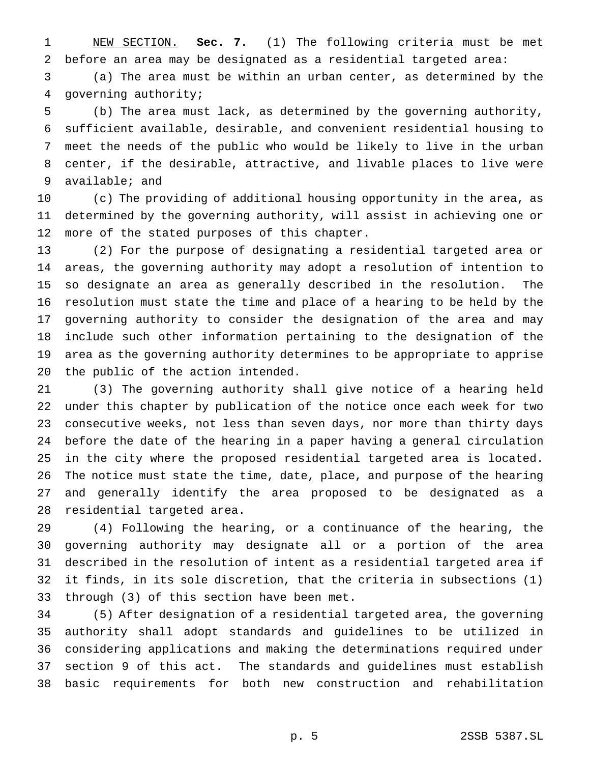NEW SECTION. **Sec. 7.** (1) The following criteria must be met before an area may be designated as a residential targeted area:

 (a) The area must be within an urban center, as determined by the governing authority;

 (b) The area must lack, as determined by the governing authority, sufficient available, desirable, and convenient residential housing to meet the needs of the public who would be likely to live in the urban center, if the desirable, attractive, and livable places to live were available; and

 (c) The providing of additional housing opportunity in the area, as determined by the governing authority, will assist in achieving one or more of the stated purposes of this chapter.

 (2) For the purpose of designating a residential targeted area or areas, the governing authority may adopt a resolution of intention to so designate an area as generally described in the resolution. The resolution must state the time and place of a hearing to be held by the governing authority to consider the designation of the area and may include such other information pertaining to the designation of the area as the governing authority determines to be appropriate to apprise the public of the action intended.

 (3) The governing authority shall give notice of a hearing held under this chapter by publication of the notice once each week for two consecutive weeks, not less than seven days, nor more than thirty days before the date of the hearing in a paper having a general circulation in the city where the proposed residential targeted area is located. The notice must state the time, date, place, and purpose of the hearing and generally identify the area proposed to be designated as a residential targeted area.

 (4) Following the hearing, or a continuance of the hearing, the governing authority may designate all or a portion of the area described in the resolution of intent as a residential targeted area if it finds, in its sole discretion, that the criteria in subsections (1) through (3) of this section have been met.

 (5) After designation of a residential targeted area, the governing authority shall adopt standards and guidelines to be utilized in considering applications and making the determinations required under section 9 of this act. The standards and guidelines must establish basic requirements for both new construction and rehabilitation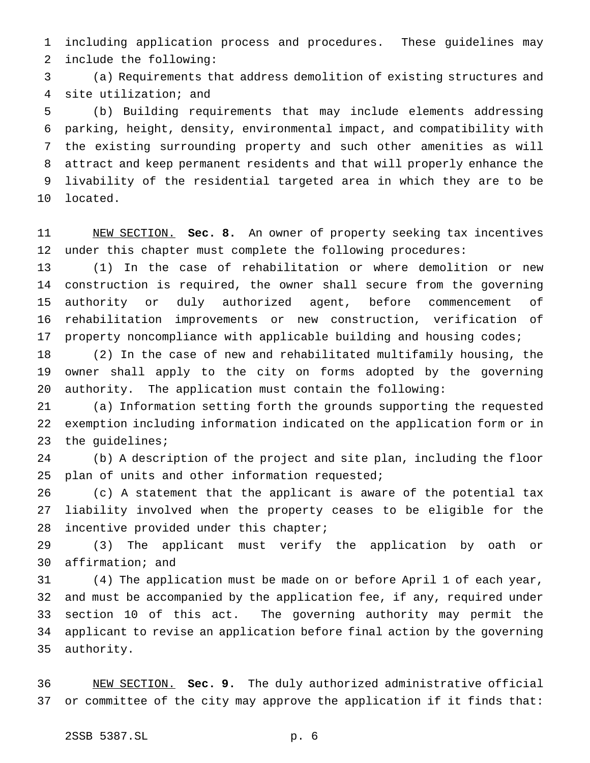including application process and procedures. These guidelines may include the following:

 (a) Requirements that address demolition of existing structures and site utilization; and

 (b) Building requirements that may include elements addressing parking, height, density, environmental impact, and compatibility with the existing surrounding property and such other amenities as will attract and keep permanent residents and that will properly enhance the livability of the residential targeted area in which they are to be located.

 NEW SECTION. **Sec. 8.** An owner of property seeking tax incentives under this chapter must complete the following procedures:

 (1) In the case of rehabilitation or where demolition or new construction is required, the owner shall secure from the governing authority or duly authorized agent, before commencement of rehabilitation improvements or new construction, verification of property noncompliance with applicable building and housing codes;

 (2) In the case of new and rehabilitated multifamily housing, the owner shall apply to the city on forms adopted by the governing authority. The application must contain the following:

 (a) Information setting forth the grounds supporting the requested exemption including information indicated on the application form or in the guidelines;

 (b) A description of the project and site plan, including the floor 25 plan of units and other information requested;

 (c) A statement that the applicant is aware of the potential tax liability involved when the property ceases to be eligible for the incentive provided under this chapter;

 (3) The applicant must verify the application by oath or affirmation; and

 (4) The application must be made on or before April 1 of each year, and must be accompanied by the application fee, if any, required under section 10 of this act. The governing authority may permit the applicant to revise an application before final action by the governing authority.

 NEW SECTION. **Sec. 9.** The duly authorized administrative official or committee of the city may approve the application if it finds that: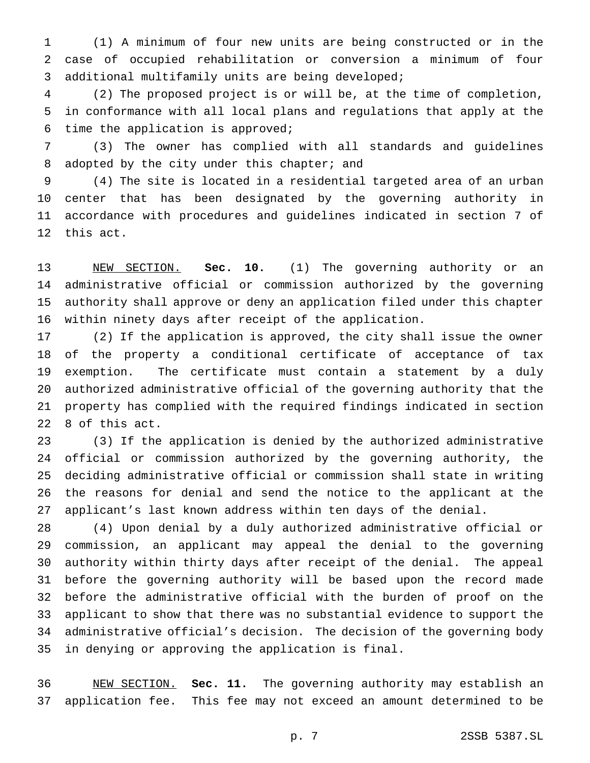(1) A minimum of four new units are being constructed or in the case of occupied rehabilitation or conversion a minimum of four additional multifamily units are being developed;

 (2) The proposed project is or will be, at the time of completion, in conformance with all local plans and regulations that apply at the time the application is approved;

 (3) The owner has complied with all standards and guidelines 8 adopted by the city under this chapter; and

 (4) The site is located in a residential targeted area of an urban center that has been designated by the governing authority in accordance with procedures and guidelines indicated in section 7 of this act.

 NEW SECTION. **Sec. 10.** (1) The governing authority or an administrative official or commission authorized by the governing authority shall approve or deny an application filed under this chapter within ninety days after receipt of the application.

 (2) If the application is approved, the city shall issue the owner of the property a conditional certificate of acceptance of tax exemption. The certificate must contain a statement by a duly authorized administrative official of the governing authority that the property has complied with the required findings indicated in section 8 of this act.

 (3) If the application is denied by the authorized administrative official or commission authorized by the governing authority, the deciding administrative official or commission shall state in writing the reasons for denial and send the notice to the applicant at the applicant's last known address within ten days of the denial.

 (4) Upon denial by a duly authorized administrative official or commission, an applicant may appeal the denial to the governing authority within thirty days after receipt of the denial. The appeal before the governing authority will be based upon the record made before the administrative official with the burden of proof on the applicant to show that there was no substantial evidence to support the administrative official's decision. The decision of the governing body in denying or approving the application is final.

 NEW SECTION. **Sec. 11.** The governing authority may establish an application fee. This fee may not exceed an amount determined to be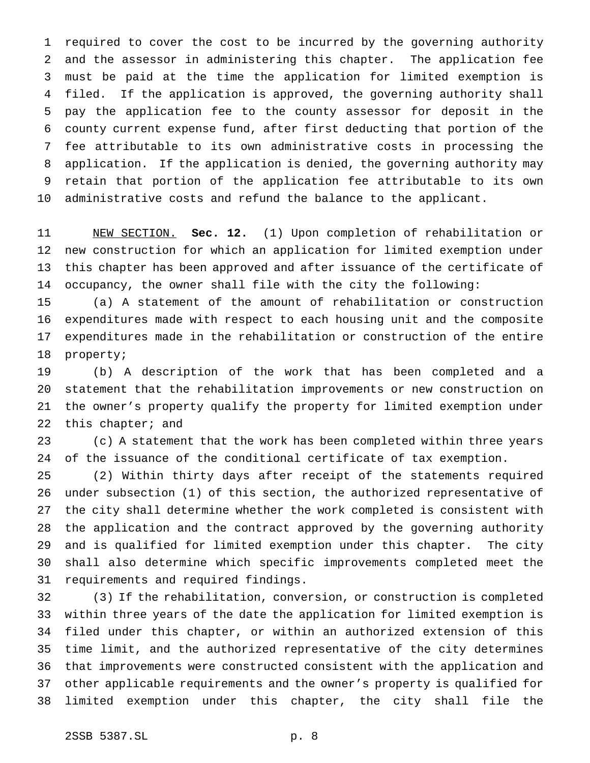required to cover the cost to be incurred by the governing authority and the assessor in administering this chapter. The application fee must be paid at the time the application for limited exemption is filed. If the application is approved, the governing authority shall pay the application fee to the county assessor for deposit in the county current expense fund, after first deducting that portion of the fee attributable to its own administrative costs in processing the application. If the application is denied, the governing authority may retain that portion of the application fee attributable to its own administrative costs and refund the balance to the applicant.

 NEW SECTION. **Sec. 12.** (1) Upon completion of rehabilitation or new construction for which an application for limited exemption under this chapter has been approved and after issuance of the certificate of occupancy, the owner shall file with the city the following:

 (a) A statement of the amount of rehabilitation or construction expenditures made with respect to each housing unit and the composite expenditures made in the rehabilitation or construction of the entire property;

 (b) A description of the work that has been completed and a statement that the rehabilitation improvements or new construction on the owner's property qualify the property for limited exemption under 22 this chapter; and

 (c) A statement that the work has been completed within three years of the issuance of the conditional certificate of tax exemption.

 (2) Within thirty days after receipt of the statements required under subsection (1) of this section, the authorized representative of the city shall determine whether the work completed is consistent with the application and the contract approved by the governing authority and is qualified for limited exemption under this chapter. The city shall also determine which specific improvements completed meet the requirements and required findings.

 (3) If the rehabilitation, conversion, or construction is completed within three years of the date the application for limited exemption is filed under this chapter, or within an authorized extension of this time limit, and the authorized representative of the city determines that improvements were constructed consistent with the application and other applicable requirements and the owner's property is qualified for limited exemption under this chapter, the city shall file the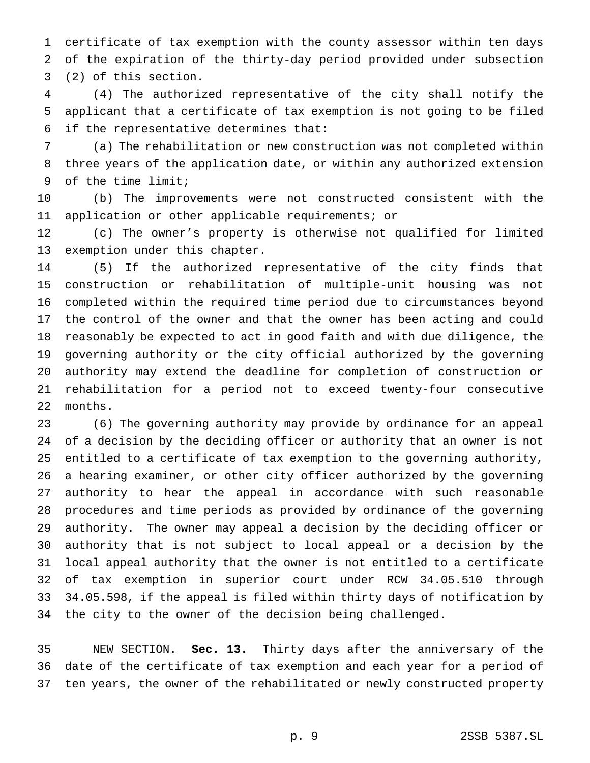certificate of tax exemption with the county assessor within ten days of the expiration of the thirty-day period provided under subsection (2) of this section.

 (4) The authorized representative of the city shall notify the applicant that a certificate of tax exemption is not going to be filed if the representative determines that:

 (a) The rehabilitation or new construction was not completed within three years of the application date, or within any authorized extension of the time limit;

 (b) The improvements were not constructed consistent with the application or other applicable requirements; or

 (c) The owner's property is otherwise not qualified for limited exemption under this chapter.

 (5) If the authorized representative of the city finds that construction or rehabilitation of multiple-unit housing was not completed within the required time period due to circumstances beyond the control of the owner and that the owner has been acting and could reasonably be expected to act in good faith and with due diligence, the governing authority or the city official authorized by the governing authority may extend the deadline for completion of construction or rehabilitation for a period not to exceed twenty-four consecutive months.

 (6) The governing authority may provide by ordinance for an appeal of a decision by the deciding officer or authority that an owner is not entitled to a certificate of tax exemption to the governing authority, a hearing examiner, or other city officer authorized by the governing authority to hear the appeal in accordance with such reasonable procedures and time periods as provided by ordinance of the governing authority. The owner may appeal a decision by the deciding officer or authority that is not subject to local appeal or a decision by the local appeal authority that the owner is not entitled to a certificate of tax exemption in superior court under RCW 34.05.510 through 34.05.598, if the appeal is filed within thirty days of notification by the city to the owner of the decision being challenged.

 NEW SECTION. **Sec. 13.** Thirty days after the anniversary of the date of the certificate of tax exemption and each year for a period of ten years, the owner of the rehabilitated or newly constructed property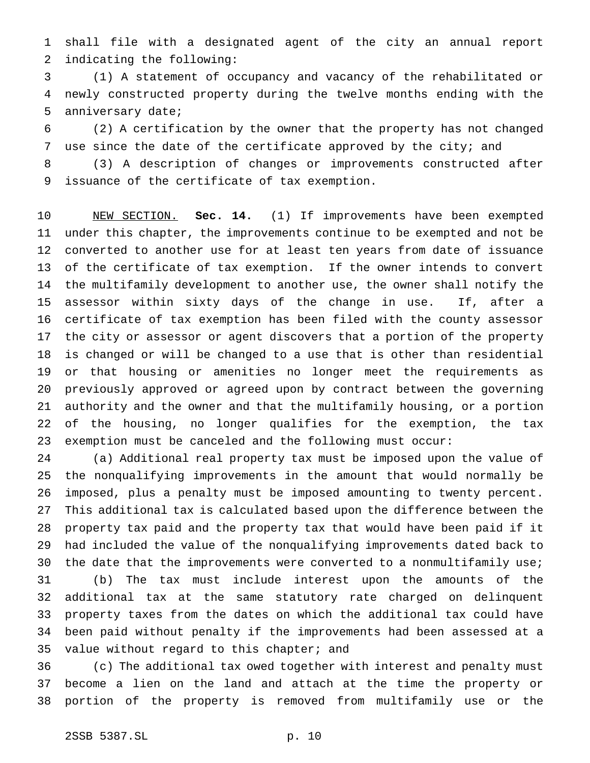shall file with a designated agent of the city an annual report indicating the following:

 (1) A statement of occupancy and vacancy of the rehabilitated or newly constructed property during the twelve months ending with the anniversary date;

 (2) A certification by the owner that the property has not changed 7 use since the date of the certificate approved by the city; and

 (3) A description of changes or improvements constructed after issuance of the certificate of tax exemption.

 NEW SECTION. **Sec. 14.** (1) If improvements have been exempted under this chapter, the improvements continue to be exempted and not be converted to another use for at least ten years from date of issuance of the certificate of tax exemption. If the owner intends to convert the multifamily development to another use, the owner shall notify the assessor within sixty days of the change in use. If, after a certificate of tax exemption has been filed with the county assessor the city or assessor or agent discovers that a portion of the property is changed or will be changed to a use that is other than residential or that housing or amenities no longer meet the requirements as previously approved or agreed upon by contract between the governing authority and the owner and that the multifamily housing, or a portion of the housing, no longer qualifies for the exemption, the tax exemption must be canceled and the following must occur:

 (a) Additional real property tax must be imposed upon the value of the nonqualifying improvements in the amount that would normally be imposed, plus a penalty must be imposed amounting to twenty percent. This additional tax is calculated based upon the difference between the property tax paid and the property tax that would have been paid if it had included the value of the nonqualifying improvements dated back to 30 the date that the improvements were converted to a nonmultifamily use; (b) The tax must include interest upon the amounts of the additional tax at the same statutory rate charged on delinquent property taxes from the dates on which the additional tax could have been paid without penalty if the improvements had been assessed at a 35 value without regard to this chapter; and

 (c) The additional tax owed together with interest and penalty must become a lien on the land and attach at the time the property or portion of the property is removed from multifamily use or the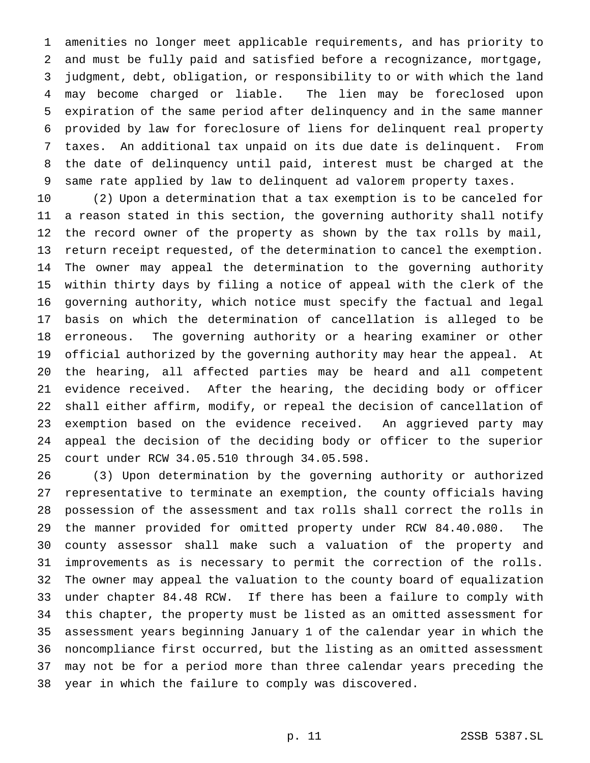amenities no longer meet applicable requirements, and has priority to and must be fully paid and satisfied before a recognizance, mortgage, judgment, debt, obligation, or responsibility to or with which the land may become charged or liable. The lien may be foreclosed upon expiration of the same period after delinquency and in the same manner provided by law for foreclosure of liens for delinquent real property taxes. An additional tax unpaid on its due date is delinquent. From the date of delinquency until paid, interest must be charged at the same rate applied by law to delinquent ad valorem property taxes.

 (2) Upon a determination that a tax exemption is to be canceled for a reason stated in this section, the governing authority shall notify the record owner of the property as shown by the tax rolls by mail, return receipt requested, of the determination to cancel the exemption. The owner may appeal the determination to the governing authority within thirty days by filing a notice of appeal with the clerk of the governing authority, which notice must specify the factual and legal basis on which the determination of cancellation is alleged to be erroneous. The governing authority or a hearing examiner or other official authorized by the governing authority may hear the appeal. At the hearing, all affected parties may be heard and all competent evidence received. After the hearing, the deciding body or officer shall either affirm, modify, or repeal the decision of cancellation of exemption based on the evidence received. An aggrieved party may appeal the decision of the deciding body or officer to the superior court under RCW 34.05.510 through 34.05.598.

 (3) Upon determination by the governing authority or authorized representative to terminate an exemption, the county officials having possession of the assessment and tax rolls shall correct the rolls in the manner provided for omitted property under RCW 84.40.080. The county assessor shall make such a valuation of the property and improvements as is necessary to permit the correction of the rolls. The owner may appeal the valuation to the county board of equalization under chapter 84.48 RCW. If there has been a failure to comply with this chapter, the property must be listed as an omitted assessment for assessment years beginning January 1 of the calendar year in which the noncompliance first occurred, but the listing as an omitted assessment may not be for a period more than three calendar years preceding the year in which the failure to comply was discovered.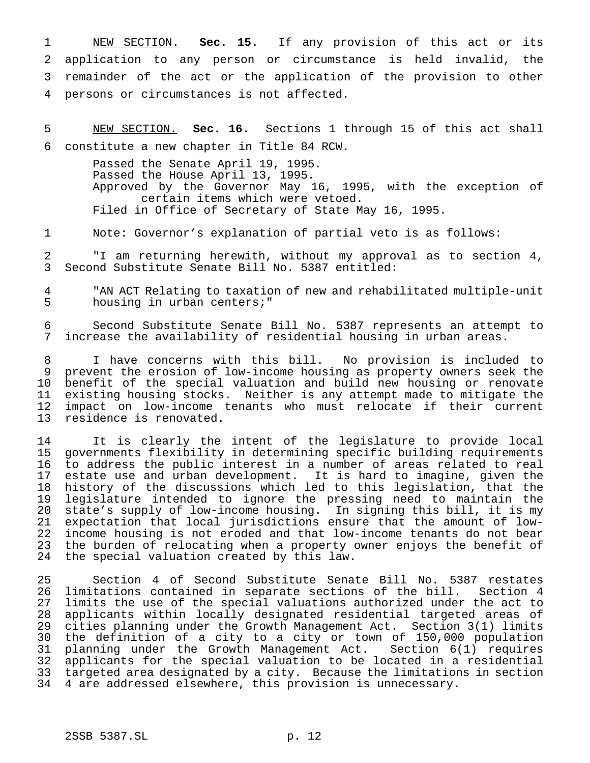NEW SECTION. **Sec. 15.** If any provision of this act or its application to any person or circumstance is held invalid, the remainder of the act or the application of the provision to other persons or circumstances is not affected.

 NEW SECTION. **Sec. 16.** Sections 1 through 15 of this act shall constitute a new chapter in Title 84 RCW.

Passed the Senate April 19, 1995. Passed the House April 13, 1995. Approved by the Governor May 16, 1995, with the exception of certain items which were vetoed. Filed in Office of Secretary of State May 16, 1995.

Note: Governor's explanation of partial veto is as follows:

 "I am returning herewith, without my approval as to section 4, Second Substitute Senate Bill No. 5387 entitled:

 "AN ACT Relating to taxation of new and rehabilitated multiple-unit housing in urban centers;"

 Second Substitute Senate Bill No. 5387 represents an attempt to increase the availability of residential housing in urban areas.

 I have concerns with this bill. No provision is included to prevent the erosion of low-income housing as property owners seek the benefit of the special valuation and build new housing or renovate existing housing stocks. Neither is any attempt made to mitigate the 12 impact on low-income tenants who must relocate if their current<br>13 residence is renovated. residence is renovated.

 It is clearly the intent of the legislature to provide local governments flexibility in determining specific building requirements 16 to address the public interest in a number of areas related to real<br>17 estate use and urban development. It is hard to imagine, given the estate use and urban development. It is hard to imagine, given the history of the discussions which led to this legislation, that the legislature intended to ignore the pressing need to maintain the state's supply of low-income housing. In signing this bill, it is my expectation that local jurisdictions ensure that the amount of low- income housing is not eroded and that low-income tenants do not bear the burden of relocating when a property owner enjoys the benefit of the special valuation created by this law.

 Section 4 of Second Substitute Senate Bill No. 5387 restates 26 limitations contained in separate sections of the bill. Section 4<br>27 limits the use of the special valuations authorized under the act to limits the use of the special valuations authorized under the act to applicants within locally designated residential targeted areas of cities planning under the Growth Management Act. Section 3(1) limits the definition of a city to a city or town of 150,000 population planning under the Growth Management Act. Section 6(1) requires applicants for the special valuation to be located in a residential targeted area designated by a city. Because the limitations in section 4 are addressed elsewhere, this provision is unnecessary.